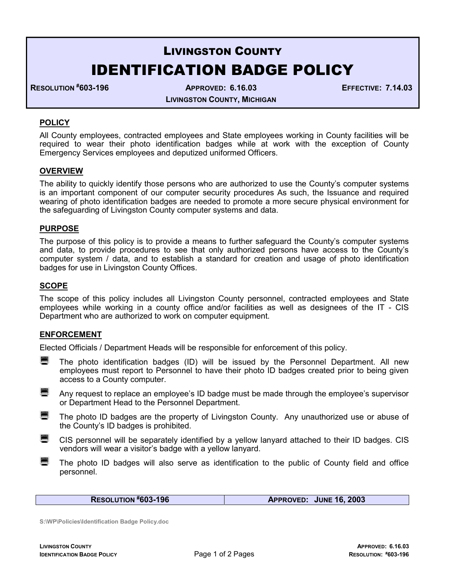# LIVINGSTON COUNTY IDENTIFICATION BADGE POLICY

RESOLUTION #603-196 APPROVED: 6.16.03 EFFECTIVE: 7.14.03

LIVINGSTON COUNTY, MICHIGAN

# **POLICY**

All County employees, contracted employees and State employees working in County facilities will be required to wear their photo identification badges while at work with the exception of County Emergency Services employees and deputized uniformed Officers.

## **OVERVIEW**

The ability to quickly identify those persons who are authorized to use the County's computer systems is an important component of our computer security procedures As such, the Issuance and required wearing of photo identification badges are needed to promote a more secure physical environment for the safeguarding of Livingston County computer systems and data.

#### PURPOSE

The purpose of this policy is to provide a means to further safeguard the County's computer systems and data, to provide procedures to see that only authorized persons have access to the County's computer system / data, and to establish a standard for creation and usage of photo identification badges for use in Livingston County Offices.

### **SCOPE**

The scope of this policy includes all Livingston County personnel, contracted employees and State employees while working in a county office and/or facilities as well as designees of the IT - CIS Department who are authorized to work on computer equipment.

#### ENFORCEMENT

Elected Officials / Department Heads will be responsible for enforcement of this policy.

- The photo identification badges (ID) will be issued by the Personnel Department. All new employees must report to Personnel to have their photo ID badges created prior to being given access to a County computer.
- Any request to replace an employee's ID badge must be made through the employee's supervisor or Department Head to the Personnel Department.
- **The photo ID badges are the property of Livingston County. Any unauthorized use or abuse of** the County's ID badges is prohibited.
- CIS personnel will be separately identified by a yellow lanyard attached to their ID badges. CIS vendors will wear a visitor's badge with a yellow lanyard.
- The photo ID badges will also serve as identification to the public of County field and office personnel.

RESOLUTION #603-196 **APPROVED:** JUNE 16, 2003

S:\WP\Policies\Identification Badge Policy.doc